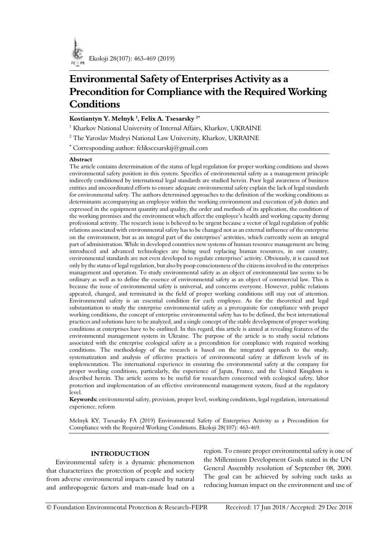

# **Environmental Safety of Enterprises Activity as a Precondition for Compliance with the Required Working Conditions**

## **Kostiantyn Y. Melnyk 1 , Felix A. Tsesarsky 2\***

<sup>1</sup> Kharkov National University of Internal Affairs, Kharkov, UKRAINE

<sup>2</sup> The Yaroslav Mudryi National Law University, Kharkov, UKRAINE

\* Corresponding author: felikscesarskij@gmail.com

#### **Abstract**

The article contains determination of the status of legal regulation for proper working conditions and shows environmental safety position in this system. Specifics of environmental safety as a management principle indirectly conditioned by international legal standards are studied herein. Poor legal awareness of business entities and uncoordinated efforts to ensure adequate environmental safety explain the lack of legal standards for environmental safety. The authors determined approaches to the definition of the working conditions as determinants accompanying an employee within the working environment and execution of job duties and expressed in the equipment quantity and quality, the order and methods of its application, the condition of the working premises and the environment which affect the employee's health and working capacity during professional activity. The research issue is believed to be urgent because a vector of legal regulation of public relations associated with environmental safety has to be changed not as an external influence of the enterprise on the environment, but as an integral part of the enterprises' activities, which currently seem an integral part of administration. While in developed countries new systems of human resource management are being introduced and advanced technologies are being used replacing human resources, in our country, environmental standards are not even developed to regulate enterprises' activity. Obviously, it is caused not only by the status of legal regulation, but also by poop consciousness of the citizens involved in the enterprises management and operation. To study environmental safety as an object of environmental law seems to be ordinary as well as to define the essence of environmental safety as an object of commercial law. This is because the issue of environmental safety is universal, and concerns everyone. However, public relations appeared, changed, and terminated in the field of proper working conditions still stay out of attention. Environmental safety is an essential condition for each employee. As for the theoretical and legal substantiation to study the enterprise environmental safety as a prerequisite for compliance with proper working conditions, the concept of enterprise environmental safety has to be defined, the best international practices and solutions have to be analyzed, and a single concept of the stable development of proper working conditions at enterprises have to be outlined. In this regard, this article is aimed at revealing features of the environmental management system in Ukraine. The purpose of the article is to study social relations associated with the enterprise ecological safety as a precondition for compliance with required working conditions. The methodology of the research is based on the integrated approach to the study, systematization and analysis of effective practices of environmental safety at different levels of its implementation. The international experience in ensuring the environmental safety at the company for proper working conditions, particularly, the experience of Japan, France, and the United Kingdom is described herein. The article seems to be useful for researchers concerned with ecological safety, labor protection and implementation of an effective environmental management system, fixed at the regulatory level.

**Keywords:** environmental safety, provision, proper level, working conditions, legal regulation, international experience, reform

Melnyk KY, Tsesarsky FA (2019) Environmental Safety of Enterprises Activity as a Precondition for Compliance with the Required Working Conditions. Ekoloji 28(107): 463-469.

## **INTRODUCTION**

Environmental safety is a dynamic phenomenon that characterizes the protection of people and society from adverse environmental impacts caused by natural and anthropogenic factors and man-made load on a region. To ensure proper environmental safety is one of the Millennium Development Goals stated in the UN General Assembly resolution of September 08, 2000. The goal can be achieved by solving such tasks as reducing human impact on the environment and use of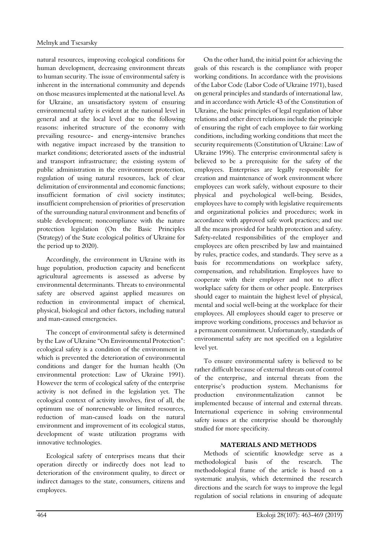natural resources, improving ecological conditions for human development, decreasing environment threats to human security. The issue of environmental safety is inherent in the international community and depends on those measures implemented at the national level. As for Ukraine, an unsatisfactory system of ensuring environmental safety is evident at the national level in general and at the local level due to the following reasons: inherited structure of the economy with prevailing resource- and energy-intensive branches with negative impact increased by the transition to market conditions; deteriorated assets of the industrial and transport infrastructure; the existing system of public administration in the environment protection, regulation of using natural resources, lack of clear delimitation of environmental and economic functions; insufficient formation of civil society institutes; insufficient comprehension of priorities of preservation of the surrounding natural environment and benefits of stable development; noncompliance with the nature protection legislation (On the Basic Principles (Strategy) of the State ecological politics of Ukraine for the period up to 2020).

Accordingly, the environment in Ukraine with its huge population, production capacity and beneficent agricultural agreements is assessed as adverse by environmental determinants. Threats to environmental safety are observed against applied measures on reduction in environmental impact of chemical, physical, biological and other factors, including natural and man-caused emergencies.

The concept of environmental safety is determined by the Law of Ukraine "On Environmental Protection": ecological safety is a condition of the environment in which is prevented the deterioration of environmental conditions and danger for the human health (On environmental protection: Law of Ukraine 1991). However the term of ecological safety of the enterprise activity is not defined in the legislation yet. The ecological context of activity involves, first of all, the optimum use of nonrenewable or limited resources, reduction of man-caused loads on the natural environment and improvement of its ecological status, development of waste utilization programs with innovative technologies.

Ecological safety of enterprises means that their operation directly or indirectly does not lead to deterioration of the environment quality, to direct or indirect damages to the state, consumers, citizens and employees.

On the other hand, the initial point for achieving the goals of this research is the compliance with proper working conditions. In accordance with the provisions of the Labor Code (Labor Code of Ukraine 1971), based on general principles and standards of international law, and in accordance with Article 43 of the Constitution of Ukraine, the basic principles of legal regulation of labor relations and other direct relations include the principle of ensuring the right of each employee to fair working conditions, including working conditions that meet the security requirements (Constitution of Ukraine: Law of Ukraine 1996). The enterprise environmental safety is believed to be a prerequisite for the safety of the employees. Enterprises are legally responsible for creation and maintenance of work environment where employees can work safely, without exposure to their physical and psychological well-being. Besides, employees have to comply with legislative requirements and organizational policies and procedures; work in accordance with approved safe work practices; and use all the means provided for health protection and safety. Safety-related responsibilities of the employer and employees are often prescribed by law and maintained by rules, practice codes, and standards. They serve as a basis for recommendations on workplace safety, compensation, and rehabilitation. Employees have to cooperate with their employer and not to affect workplace safety for them or other people. Enterprises should eager to maintain the highest level of physical, mental and social well-being at the workplace for their employees. All employees should eager to preserve or improve working conditions, processes and behavior as a permanent commitment. Unfortunately, standards of environmental safety are not specified on a legislative level yet.

To ensure environmental safety is believed to be rather difficult because of external threats out of control of the enterprise, and internal threats from the enterprise's production system. Mechanisms for production environmentalization cannot be implemented because of internal and external threats. International experience in solving environmental safety issues at the enterprise should be thoroughly studied for more specificity.

## **MATERIALS AND METHODS**

Methods of scientific knowledge serve as a methodological basis of the research. The methodological frame of the article is based on a systematic analysis, which determined the research directions and the search for ways to improve the legal regulation of social relations in ensuring of adequate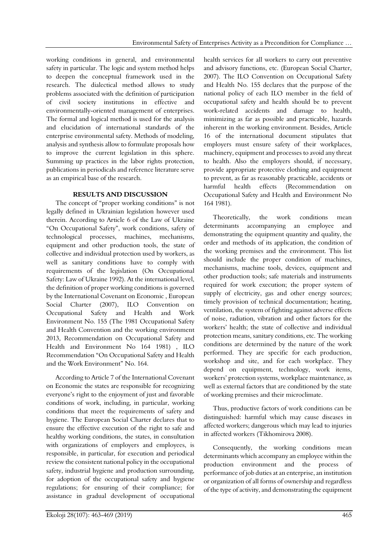working conditions in general, and environmental safety in particular. The logic and system method helps to deepen the conceptual framework used in the research. The dialectical method allows to study problems associated with the definition of participation of civil society institutions in effective and environmentally-oriented management of enterprises. The formal and logical method is used for the analysis and elucidation of international standards of the enterprise environmental safety. Methods of modeling, analysis and synthesis allow to formulate proposals how to improve the current legislation in this sphere. Summing up practices in the labor rights protection, publications in periodicals and reference literature serve as an empirical base of the research.

## **RESULTS AND DISCUSSION**

The concept of "proper working conditions" is not legally defined in Ukrainian legislation however used therein. According to Article 6 of the Law of Ukraine "On Occupational Safety", work conditions, safety of technological processes, machines, mechanisms, equipment and other production tools, the state of collective and individual protection used by workers, as well as sanitary conditions have to comply with requirements of the legislation (On Occupational Safety: Law of Ukraine 1992). At the international level, the definition of proper working conditions is governed by the International Covenant on Economic , European Social Charter (2007), ILO Convention on Occupational Safety and Health and Work Environment No. 155 (The 1981 Occupational Safety and Health Convention and the working environment 2013, Recommendation on Occupational Safety and Health and Environment No 164 1981) , ILO Recommendation "On Occupational Safety and Health and the Work Environment" No. 164.

According to Article 7 of the International Covenant on Economic the states are responsible for recognizing everyone's right to the enjoyment of just and favorable conditions of work, including, in particular, working conditions that meet the requirements of safety and hygiene. The European Social Charter declares that to ensure the effective execution of the right to safe and healthy working conditions, the states, in consultation with organizations of employers and employees, is responsible, in particular, for execution and periodical review the consistent national policy in the occupational safety, industrial hygiene and production surrounding, for adoption of the occupational safety and hygiene regulations; for ensuring of their compliance; for assistance in gradual development of occupational

health services for all workers to carry out preventive and advisory functions, etc. (European Social Charter, 2007). The ILO Convention on Occupational Safety and Health No. 155 declares that the purpose of the national policy of each ILO member in the field of occupational safety and health should be to prevent work-related accidents and damage to health, minimizing as far as possible and practicable, hazards inherent in the working environment. Besides, Article 16 of the international document stipulates that employers must ensure safety of their workplaces, machinery, equipment and processes to avoid any threat to health. Also the employers should, if necessary, provide appropriate protective clothing and equipment to prevent, as far as reasonably practicable, accidents or harmful health effects (Recommendation on Occupational Safety and Health and Environment No 164 1981).

Theoretically, the work conditions mean determinants accompanying an employee and demonstrating the equipment quantity and quality, the order and methods of its application, the condition of the working premises and the environment. This list should include the proper condition of machines, mechanisms, machine tools, devices, equipment and other production tools; safe materials and instruments required for work execution; the proper system of supply of electricity, gas and other energy sources; timely provision of technical documentation; heating, ventilation, the system of fighting against adverse effects of noise, radiation, vibration and other factors for the workers' health; the state of collective and individual protection means, sanitary conditions, etc. The working conditions are determined by the nature of the work performed. They are specific for each production, workshop and site, and for each workplace. They depend on equipment, technology, work items, workers' protection systems, workplace maintenance, as well as external factors that are conditioned by the state of working premises and their microclimate.

Thus, productive factors of work conditions can be distinguished: harmful which may cause diseases in affected workers; dangerous which may lead to injuries in affected workers (Tikhomirova 2008).

Consequently, the working conditions mean determinants which accompany an employee within the production environment and the process of performance of job duties at an enterprise, an institution or organization of all forms of ownership and regardless of the type of activity, and demonstrating the equipment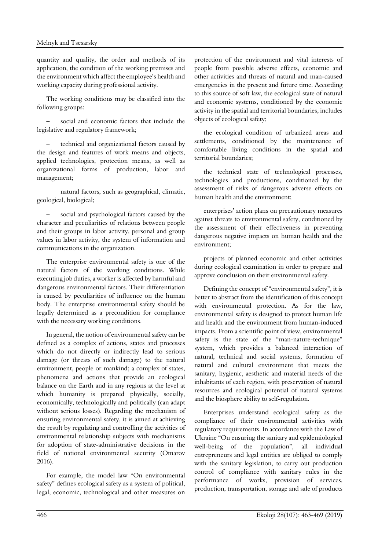quantity and quality, the order and methods of its application, the condition of the working premises and the environment which affect the employee's health and working capacity during professional activity.

The working conditions may be classified into the following groups:

social and economic factors that include the legislative and regulatory framework;

− technical and organizational factors caused by the design and features of work means and objects, applied technologies, protection means, as well as organizational forms of production, labor and management;

natural factors, such as geographical, climatic, geological, biological;

social and psychological factors caused by the character and peculiarities of relations between people and their groups in labor activity, personal and group values in labor activity, the system of information and communications in the organization.

The enterprise environmental safety is one of the natural factors of the working conditions. While executing job duties, a worker is affected by harmful and dangerous environmental factors. Their differentiation is caused by peculiarities of influence on the human body. The enterprise environmental safety should be legally determined as a precondition for compliance with the necessary working conditions.

In general, the notion of environmental safety can be defined as a complex of actions, states and processes which do not directly or indirectly lead to serious damage (or threats of such damage) to the natural environment, people or mankind; a complex of states, phenomena and actions that provide an ecological balance on the Earth and in any regions at the level at which humanity is prepared physically, socially, economically, technologically and politically (can adapt without serious losses). Regarding the mechanism of ensuring environmental safety, it is aimed at achieving the result by regulating and controlling the activities of environmental relationship subjects with mechanisms for adoption of state-administrative decisions in the field of national environmental security (Omarov 2016).

For example, the model law "On environmental safety" defines ecological safety as a system of political, legal, economic, technological and other measures on

protection of the environment and vital interests of people from possible adverse effects, economic and other activities and threats of natural and man-caused emergencies in the present and future time. According to this source of soft law, the ecological state of natural and economic systems, conditioned by the economic activity in the spatial and territorial boundaries, includes objects of ecological safety;

the ecological condition of urbanized areas and settlements, conditioned by the maintenance of comfortable living conditions in the spatial and territorial boundaries;

the technical state of technological processes, technologies and productions, conditioned by the assessment of risks of dangerous adverse effects on human health and the environment;

enterprises' action plans on precautionary measures against threats to environmental safety, conditioned by the assessment of their effectiveness in preventing dangerous negative impacts on human health and the environment;

projects of planned economic and other activities during ecological examination in order to prepare and approve conclusion on their environmental safety.

Defining the concept of "environmental safety", it is better to abstract from the identification of this concept with environmental protection. As for the law, environmental safety is designed to protect human life and health and the environment from human-induced impacts. From a scientific point of view, environmental safety is the state of the "man-nature-technique" system, which provides a balanced interaction of natural, technical and social systems, formation of natural and cultural environment that meets the sanitary, hygienic, aesthetic and material needs of the inhabitants of each region, with preservation of natural resources and ecological potential of natural systems and the biosphere ability to self-regulation.

Enterprises understand ecological safety as the compliance of their environmental activities with regulatory requirements. In accordance with the Law of Ukraine "On ensuring the sanitary and epidemiological well-being of the population", all individual entrepreneurs and legal entities are obliged to comply with the sanitary legislation, to carry out production control of compliance with sanitary rules in the performance of works, provision of services, production, transportation, storage and sale of products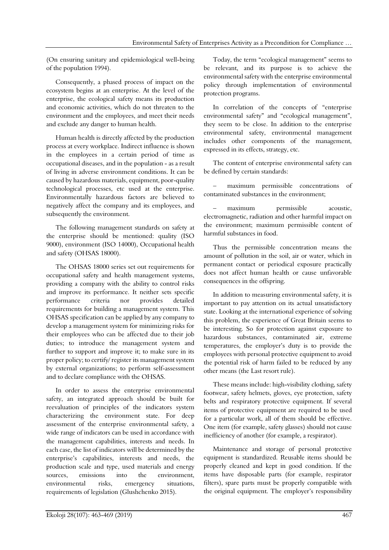(On ensuring sanitary and epidemiological well-being of the population 1994).

Consequently, a phased process of impact on the ecosystem begins at an enterprise. At the level of the enterprise, the ecological safety means its production and economic activities, which do not threaten to the environment and the employees, and meet their needs and exclude any danger to human health.

Human health is directly affected by the production process at every workplace. Indirect influence is shown in the employees in a certain period of time as occupational diseases, and in the population - as a result of living in adverse environment conditions. It can be caused by hazardous materials, equipment, poor-quality technological processes, etc used at the enterprise. Environmentally hazardous factors are believed to negatively affect the company and its employees, and subsequently the environment.

The following management standards on safety at the enterprise should be mentioned: quality (ISO 9000), environment (ISO 14000), Occupational health and safety (OHSAS 18000).

The OHSAS 18000 series set out requirements for occupational safety and health management systems, providing a company with the ability to control risks and improve its performance. It neither sets specific performance criteria nor provides detailed requirements for building a management system. This OHSAS specification can be applied by any company to develop a management system for minimizing risks for their employees who can be affected due to their job duties; to introduce the management system and further to support and improve it; to make sure in its proper policy; to certify/ register its management system by external organizations; to perform self-assessment and to declare compliance with the OHSAS.

In order to assess the enterprise environmental safety, an integrated approach should be built for reevaluation of principles of the indicators system characterizing the environment state. For deep assessment of the enterprise environmental safety, a wide range of indicators can be used in accordance with the management capabilities, interests and needs. In each case, the list of indicators will be determined by the enterprise's capabilities, interests and needs, the production scale and type, used materials and energy sources, emissions into the environment, environmental risks, emergency situations, requirements of legislation (Glushchenko 2015).

Today, the term "ecological management" seems to be relevant, and its purpose is to achieve the environmental safety with the enterprise environmental policy through implementation of environmental protection programs.

In correlation of the concepts of "enterprise environmental safety" and "ecological management", they seem to be close. In addition to the enterprise environmental safety, environmental management includes other components of the management, expressed in its effects, strategy, etc.

The content of enterprise environmental safety can be defined by certain standards:

− maximum permissible concentrations of contaminated substances in the environment;

maximum permissible acoustic, electromagnetic, radiation and other harmful impact on the environment; maximum permissible content of harmful substances in food.

Thus the permissible concentration means the amount of pollution in the soil, air or water, which in permanent contact or periodical exposure practically does not affect human health or cause unfavorable consequences in the offspring.

In addition to measuring environmental safety, it is important to pay attention on its actual unsatisfactory state. Looking at the international experience of solving this problem, the experience of Great Britain seems to be interesting. So for protection against exposure to hazardous substances, contaminated air, extreme temperatures, the employer's duty is to provide the employees with personal protective equipment to avoid the potential risk of harm failed to be reduced by any other means (the Last resort rule).

These means include: high-visibility clothing, safety footwear, safety helmets, gloves, eye protection, safety belts and respiratory protective equipment. If several items of protective equipment are required to be used for a particular work, all of them should be effective. One item (for example, safety glasses) should not cause inefficiency of another (for example, a respirator).

Maintenance and storage of personal protective equipment is standardized. Reusable items should be properly cleaned and kept in good condition. If the items have disposable parts (for example, respirator filters), spare parts must be properly compatible with the original equipment. The employer's responsibility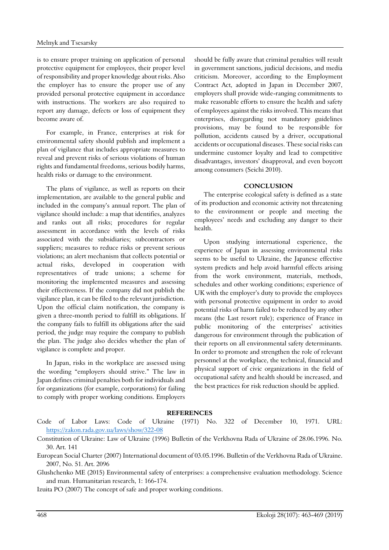is to ensure proper training on application of personal protective equipment for employees, their proper level of responsibility and proper knowledge about risks. Also the employer has to ensure the proper use of any provided personal protective equipment in accordance with instructions. The workers are also required to report any damage, defects or loss of equipment they become aware of.

For example, in France, enterprises at risk for environmental safety should publish and implement a plan of vigilance that includes appropriate measures to reveal and prevent risks of serious violations of human rights and fundamental freedoms, serious bodily harms, health risks or damage to the environment.

The plans of vigilance, as well as reports on their implementation, are available to the general public and included in the company's annual report. The plan of vigilance should include: a map that identifies, analyzes and ranks out all risks; procedures for regular assessment in accordance with the levels of risks associated with the subsidiaries; subcontractors or suppliers; measures to reduce risks or prevent serious violations; an alert mechanism that collects potential or actual risks, developed in cooperation with representatives of trade unions; a scheme for monitoring the implemented measures and assessing their effectiveness. If the company did not publish the vigilance plan, it can be filed to the relevant jurisdiction. Upon the official claim notification, the company is given a three-month period to fulfill its obligations. If the company fails to fulfill its obligations after the said period, the judge may require the company to publish the plan. The judge also decides whether the plan of vigilance is complete and proper.

In Japan, risks in the workplace are assessed using the wording "employers should strive." The law in Japan defines criminal penalties both for individuals and for organizations (for example, corporations) for failing to comply with proper working conditions. Employers

should be fully aware that criminal penalties will result in government sanctions, judicial decisions, and media criticism. Moreover, according to the Employment Contract Act, adopted in Japan in December 2007, employers shall provide wide-ranging commitments to make reasonable efforts to ensure the health and safety of employees against the risks involved. This means that enterprises, disregarding not mandatory guidelines provisions, may be found to be responsible for pollution, accidents caused by a driver, occupational accidents or occupational diseases. These social risks can undermine customer loyalty and lead to competitive disadvantages, investors' disapproval, and even boycott among consumers (Seichi 2010).

### **CONCLUSION**

The enterprise ecological safety is defined as a state of its production and economic activity not threatening to the environment or people and meeting the employees' needs and excluding any danger to their health.

Upon studying international experience, the experience of Japan in assessing environmental risks seems to be useful to Ukraine, the Japanese effective system predicts and help avoid harmful effects arising from the work environment, materials, methods, schedules and other working conditions; experience of UK with the employer's duty to provide the employees with personal protective equipment in order to avoid potential risks of harm failed to be reduced by any other means (the Last resort rule); experience of France in public monitoring of the enterprises' activities dangerous for environment through the publication of their reports on all environmental safety determinants. In order to promote and strengthen the role of relevant personnel at the workplace, the technical, financial and physical support of civic organizations in the field of occupational safety and health should be increased, and the best practices for risk reduction should be applied.

### **REFERENCES**

Code of Labor Laws: Code of Ukraine (1971) No. 322 of December 10, 1971. URL: <https://zakon.rada.gov.ua/laws/show/322-08>

Constitution of Ukraine: Law of Ukraine (1996) Bulletin of the Verkhovna Rada of Ukraine of 28.06.1996. No. 30. Art. 141

European Social Charter (2007) International document of 03.05.1996. Bulletin of the Verkhovna Rada of Ukraine. 2007, No. 51. Art. 2096

Glushchenko ME (2015) Environmental safety of enterprises: a comprehensive evaluation methodology. Science and man. Humanitarian research, 1: 166-174.

Izuita PO (2007) The concept of safe and proper working conditions.